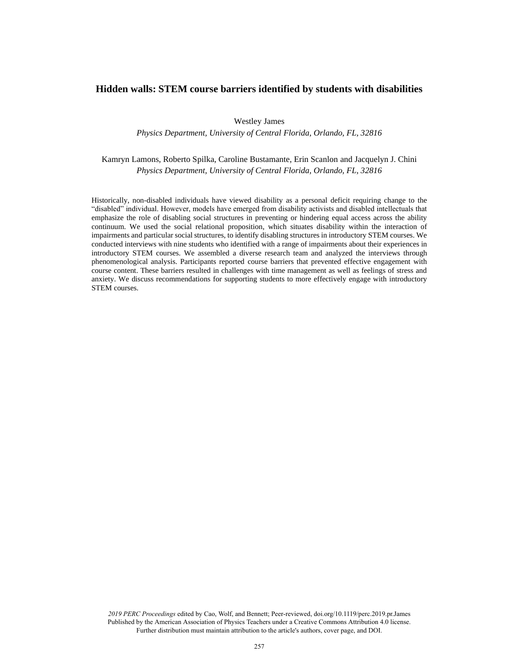# **Hidden walls: STEM course barriers identified by students with disabilities**

Westley James

*Physics Department, University of Central Florida, Orlando, FL, 32816*

Kamryn Lamons, Roberto Spilka, Caroline Bustamante, Erin Scanlon and Jacquelyn J. Chini *Physics Department, University of Central Florida, Orlando, FL, 32816*

Historically, non-disabled individuals have viewed disability as a personal deficit requiring change to the "disabled" individual. However, models have emerged from disability activists and disabled intellectuals that emphasize the role of disabling social structures in preventing or hindering equal access across the ability continuum. We used the social relational proposition, which situates disability within the interaction of impairments and particular social structures, to identify disabling structures in introductory STEM courses. We conducted interviews with nine students who identified with a range of impairments about their experiences in introductory STEM courses. We assembled a diverse research team and analyzed the interviews through phenomenological analysis. Participants reported course barriers that prevented effective engagement with course content. These barriers resulted in challenges with time management as well as feelings of stress and anxiety. We discuss recommendations for supporting students to more effectively engage with introductory STEM courses.

*2019 PERC Proceedings* edited by Cao, Wolf, and Bennett; Peer-reviewed, doi.org/10.1119/perc.2019.pr.James Published by the American Association of Physics Teachers under a Creative Commons Attribution 4.0 license. Further distribution must maintain attribution to the article's authors, cover page, and DOI.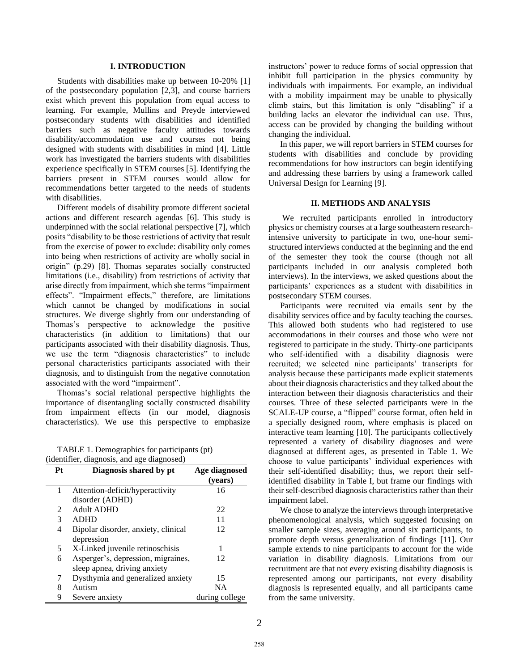# **I. INTRODUCTION**

Students with disabilities make up between 10-20% [1] of the postsecondary population [2,3], and course barriers exist which prevent this population from equal access to learning. For example, Mullins and Preyde interviewed postsecondary students with disabilities and identified barriers such as negative faculty attitudes towards disability/accommodation use and courses not being designed with students with disabilities in mind [4]. Little work has investigated the barriers students with disabilities experience specifically in STEM courses [5]. Identifying the barriers present in STEM courses would allow for recommendations better targeted to the needs of students with disabilities.

Different models of disability promote different societal actions and different research agendas [6]. This study is underpinned with the social relational perspective [7], which posits "disability to be those restrictions of activity that result from the exercise of power to exclude: disability only comes into being when restrictions of activity are wholly social in origin" (p.29) [8]. Thomas separates socially constructed limitations (i.e., disability) from restrictions of activity that arise directly from impairment, which she terms "impairment effects". "Impairment effects," therefore, are limitations which cannot be changed by modifications in social structures. We diverge slightly from our understanding of Thomas's perspective to acknowledge the positive characteristics (in addition to limitations) that our participants associated with their disability diagnosis. Thus, we use the term "diagnosis characteristics" to include personal characteristics participants associated with their diagnosis, and to distinguish from the negative connotation associated with the word "impairment".

Thomas's social relational perspective highlights the importance of disentangling socially constructed disability from impairment effects (in our model, diagnosis characteristics). We use this perspective to emphasize

TABLE 1. Demographics for participants (pt) (identifier, diagnosis, and age diagnosed)

| Pt | Diagnosis shared by pt              | Age diagnosed<br>(vears) |
|----|-------------------------------------|--------------------------|
| 1  | Attention-deficit/hyperactivity     | 16                       |
|    | disorder (ADHD)                     |                          |
| 2  | <b>Adult ADHD</b>                   | 22                       |
| 3  | <b>ADHD</b>                         | 11                       |
| 4  | Bipolar disorder, anxiety, clinical | 12                       |
|    | depression                          |                          |
| 5. | X-Linked juvenile retinoschisis     |                          |
| 6  | Asperger's, depression, migraines,  | 12                       |
|    | sleep apnea, driving anxiety        |                          |
| 7  | Dysthymia and generalized anxiety   | 15                       |
| 8  | Autism                              | NA                       |
| 9  | Severe anxiety                      | during college           |

instructors' power to reduce forms of social oppression that inhibit full participation in the physics community by individuals with impairments. For example, an individual with a mobility impairment may be unable to physically climb stairs, but this limitation is only "disabling" if a building lacks an elevator the individual can use. Thus, access can be provided by changing the building without changing the individual.

In this paper, we will report barriers in STEM courses for students with disabilities and conclude by providing recommendations for how instructors can begin identifying and addressing these barriers by using a framework called Universal Design for Learning [9].

### **II. METHODS AND ANALYSIS**

We recruited participants enrolled in introductory physics or chemistry courses at a large southeastern researchintensive university to participate in two, one-hour semistructured interviews conducted at the beginning and the end of the semester they took the course (though not all participants included in our analysis completed both interviews). In the interviews, we asked questions about the participants' experiences as a student with disabilities in postsecondary STEM courses.

Participants were recruited via emails sent by the disability services office and by faculty teaching the courses. This allowed both students who had registered to use accommodations in their courses and those who were not registered to participate in the study. Thirty-one participants who self-identified with a disability diagnosis were recruited; we selected nine participants' transcripts for analysis because these participants made explicit statements about their diagnosis characteristics and they talked about the interaction between their diagnosis characteristics and their courses. Three of these selected participants were in the SCALE-UP course, a "flipped" course format, often held in a specially designed room, where emphasis is placed on interactive team learning [10]. The participants collectively represented a variety of disability diagnoses and were diagnosed at different ages, as presented in Table 1. We choose to value participants' individual experiences with their self-identified disability; thus, we report their selfidentified disability in Table I, but frame our findings with their self-described diagnosis characteristics rather than their impairment label.

We chose to analyze the interviews through interpretative phenomenological analysis, which suggested focusing on smaller sample sizes, averaging around six participants, to promote depth versus generalization of findings [11]. Our sample extends to nine participants to account for the wide variation in disability diagnosis. Limitations from our recruitment are that not every existing disability diagnosis is represented among our participants, not every disability diagnosis is represented equally, and all participants came from the same university.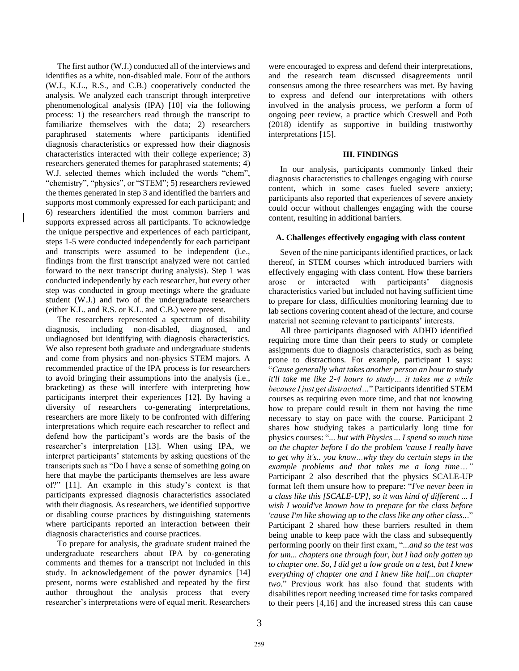The first author (W.J.) conducted all of the interviews and identifies as a white, non-disabled male. Four of the authors (W.J., K.L., R.S., and C.B.) cooperatively conducted the analysis. We analyzed each transcript through interpretive phenomenological analysis (IPA) [10] via the following process: 1) the researchers read through the transcript to familiarize themselves with the data; 2) researchers paraphrased statements where participants identified diagnosis characteristics or expressed how their diagnosis characteristics interacted with their college experience; 3) researchers generated themes for paraphrased statements; 4) W.J. selected themes which included the words "chem", "chemistry", "physics", or "STEM"; 5) researchers reviewed the themes generated in step 3 and identified the barriers and supports most commonly expressed for each participant; and 6) researchers identified the most common barriers and supports expressed across all participants. To acknowledge the unique perspective and experiences of each participant, steps 1-5 were conducted independently for each participant and transcripts were assumed to be independent (i.e., findings from the first transcript analyzed were not carried forward to the next transcript during analysis). Step 1 was conducted independently by each researcher, but every other step was conducted in group meetings where the graduate student (W.J.) and two of the undergraduate researchers (either K.L. and R.S. or K.L. and C.B.) were present.

The researchers represented a spectrum of disability diagnosis, including non-disabled, diagnosed, and undiagnosed but identifying with diagnosis characteristics. We also represent both graduate and undergraduate students and come from physics and non-physics STEM majors. A recommended practice of the IPA process is for researchers to avoid bringing their assumptions into the analysis (i.e., bracketing) as these will interfere with interpreting how participants interpret their experiences [12]. By having a diversity of researchers co-generating interpretations, researchers are more likely to be confronted with differing interpretations which require each researcher to reflect and defend how the participant's words are the basis of the researcher's interpretation [13]. When using IPA, we interpret participants' statements by asking questions of the transcripts such as "Do I have a sense of something going on here that maybe the participants themselves are less aware of?" [11]. An example in this study's context is that participants expressed diagnosis characteristics associated with their diagnosis. As researchers, we identified supportive or disabling course practices by distinguishing statements where participants reported an interaction between their diagnosis characteristics and course practices.

To prepare for analysis, the graduate student trained the undergraduate researchers about IPA by co-generating comments and themes for a transcript not included in this study. In acknowledgement of the power dynamics [14] present, norms were established and repeated by the first author throughout the analysis process that every researcher's interpretations were of equal merit. Researchers were encouraged to express and defend their interpretations, and the research team discussed disagreements until consensus among the three researchers was met. By having to express and defend our interpretations with others involved in the analysis process, we perform a form of ongoing peer review, a practice which Creswell and Poth (2018) identify as supportive in building trustworthy interpretations [15].

## **III. FINDINGS**

In our analysis, participants commonly linked their diagnosis characteristics to challenges engaging with course content, which in some cases fueled severe anxiety; participants also reported that experiences of severe anxiety could occur without challenges engaging with the course content, resulting in additional barriers.

# **A. Challenges effectively engaging with class content**

Seven of the nine participants identified practices, or lack thereof, in STEM courses which introduced barriers with effectively engaging with class content. How these barriers arose or interacted with participants' diagnosis characteristics varied but included not having sufficient time to prepare for class, difficulties monitoring learning due to lab sections covering content ahead of the lecture, and course material not seeming relevant to participants' interests.

All three participants diagnosed with ADHD identified requiring more time than their peers to study or complete assignments due to diagnosis characteristics, such as being prone to distractions. For example, participant 1 says: "*Cause generally what takes another person an hour to study it'll take me like 2-4 hours to study… it takes me a while because I just get distracted…*" Participants identified STEM courses as requiring even more time, and that not knowing how to prepare could result in them not having the time necessary to stay on pace with the course. Participant 2 shares how studying takes a particularly long time for physics courses: "*... but with Physics ... I spend so much time on the chapter before I do the problem 'cause I really have to get why it's.. you know*…*why they do certain steps in the example problems and that takes me a long time*…*"* Participant 2 also described that the physics SCALE-UP format left them unsure how to prepare: "*I've never been in a class like this [SCALE-UP], so it was kind of different ... I wish I would've known how to prepare for the class before 'cause I'm like showing up to the class like any other class..*." Participant 2 shared how these barriers resulted in them being unable to keep pace with the class and subsequently performing poorly on their first exam, "...*and so the test was for um... chapters one through four, but I had only gotten up to chapter one. So, I did get a low grade on a test, but I knew everything of chapter one and I knew like half...on chapter two.*" Previous work has also found that students with disabilities report needing increased time for tasks compared to their peers [4,16] and the increased stress this can cause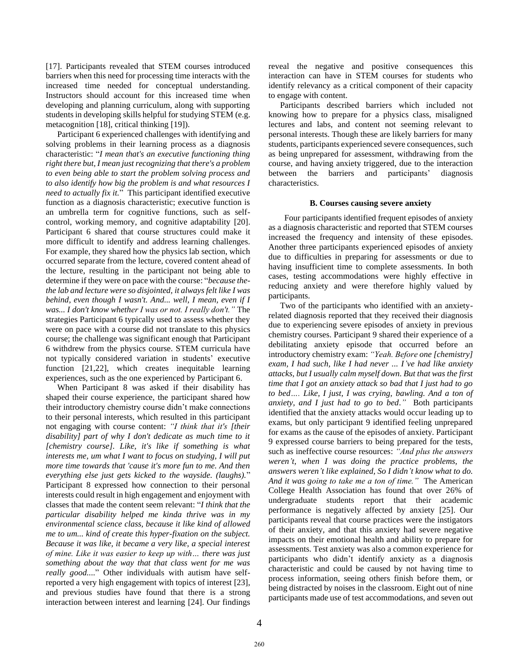[17]. Participants revealed that STEM courses introduced barriers when this need for processing time interacts with the increased time needed for conceptual understanding. Instructors should account for this increased time when developing and planning curriculum, along with supporting students in developing skills helpful for studying STEM (e.g. metacognition [18], critical thinking [19]).

Participant 6 experienced challenges with identifying and solving problems in their learning process as a diagnosis characteristic: "*I mean that's an executive functioning thing right there but, I mean just recognizing that there's a problem to even being able to start the problem solving process and to also identify how big the problem is and what resources I need to actually fix it.*" This participant identified executive function as a diagnosis characteristic; executive function is an umbrella term for cognitive functions, such as selfcontrol, working memory, and cognitive adaptability [20]. Participant 6 shared that course structures could make it more difficult to identify and address learning challenges. For example, they shared how the physics lab section, which occurred separate from the lecture, covered content ahead of the lecture, resulting in the participant not being able to determine if they were on pace with the course: "*because thethe lab and lecture were so disjointed, it always felt like I was behind, even though I wasn't. And... well, I mean, even if I was... I don't know whether I was or not. I really don't."* The strategies Participant 6 typically used to assess whether they were on pace with a course did not translate to this physics course; the challenge was significant enough that Participant 6 withdrew from the physics course. STEM curricula have not typically considered variation in students' executive function [21,22], which creates inequitable learning experiences, such as the one experienced by Participant 6.

When Participant 8 was asked if their disability has shaped their course experience, the participant shared how their introductory chemistry course didn't make connections to their personal interests, which resulted in this participant not engaging with course content: *"I think that it's [their disability] part of why I don't dedicate as much time to it [chemistry course]. Like, it's like if something is what interests me, um what I want to focus on studying, I will put more time towards that 'cause it's more fun to me. And then everything else just gets kicked to the wayside. (laughs).*" Participant 8 expressed how connection to their personal interests could result in high engagement and enjoyment with classes that made the content seem relevant: "*I think that the particular disability helped me kinda thrive was in my environmental science class, because it like kind of allowed me to um... kind of create this hyper-fixation on the subject. Because it was like, it became a very like, a special interest of mine. Like it was easier to keep up with… there was just something about the way that that class went for me was really good..*.." Other individuals with autism have selfreported a very high engagement with topics of interest [23], and previous studies have found that there is a strong interaction between interest and learning [24]. Our findings reveal the negative and positive consequences this interaction can have in STEM courses for students who identify relevancy as a critical component of their capacity to engage with content.

Participants described barriers which included not knowing how to prepare for a physics class, misaligned lectures and labs, and content not seeming relevant to personal interests. Though these are likely barriers for many students, participants experienced severe consequences, such as being unprepared for assessment, withdrawing from the course, and having anxiety triggered, due to the interaction between the barriers and participants' diagnosis characteristics.

### **B. Courses causing severe anxiety**

Four participants identified frequent episodes of anxiety as a diagnosis characteristic and reported that STEM courses increased the frequency and intensity of these episodes. Another three participants experienced episodes of anxiety due to difficulties in preparing for assessments or due to having insufficient time to complete assessments. In both cases, testing accommodations were highly effective in reducing anxiety and were therefore highly valued by participants.

Two of the participants who identified with an anxietyrelated diagnosis reported that they received their diagnosis due to experiencing severe episodes of anxiety in previous chemistry courses. Participant 9 shared their experience of a debilitating anxiety episode that occurred before an introductory chemistry exam: *"Yeah. Before one [chemistry] exam, I had such, like I had never ... I've had like anxiety attacks, but I usually calm myself down. But that was the first time that I got an anxiety attack so bad that I just had to go to bed…. Like, I just, I was crying, bawling. And a ton of anxiety, and I just had to go to bed."* Both participants identified that the anxiety attacks would occur leading up to exams, but only participant 9 identified feeling unprepared for exams as the cause of the episodes of anxiety. Participant 9 expressed course barriers to being prepared for the tests, such as ineffective course resources: *"And plus the answers weren't, when I was doing the practice problems, the answers weren't like explained, So I didn't know what to do. And it was going to take me a ton of time."* The American College Health Association has found that over 26% of undergraduate students report that their academic performance is negatively affected by anxiety [25]. Our participants reveal that course practices were the instigators of their anxiety, and that this anxiety had severe negative impacts on their emotional health and ability to prepare for assessments. Test anxiety was also a common experience for participants who didn't identify anxiety as a diagnosis characteristic and could be caused by not having time to process information, seeing others finish before them, or being distracted by noises in the classroom. Eight out of nine participants made use of test accommodations, and seven out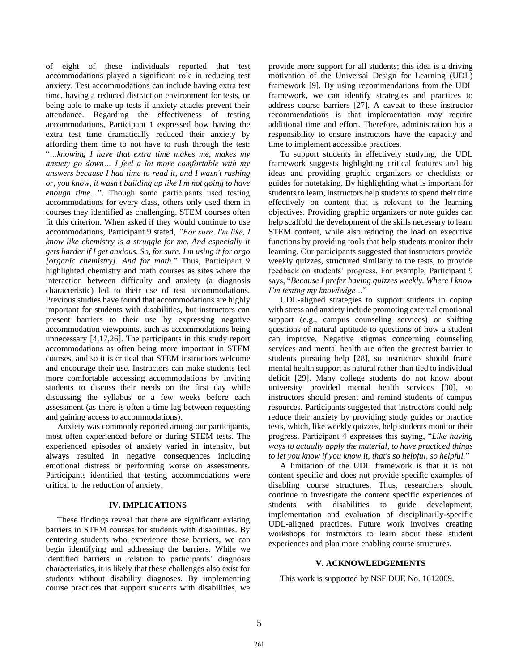of eight of these individuals reported that test accommodations played a significant role in reducing test anxiety. Test accommodations can include having extra test time, having a reduced distraction environment for tests, or being able to make up tests if anxiety attacks prevent their attendance. Regarding the effectiveness of testing accommodations, Participant 1 expressed how having the extra test time dramatically reduced their anxiety by affording them time to not have to rush through the test: "*…knowing I have that extra time makes me, makes my anxiety go down… I feel a lot more comfortable with my answers because I had time to read it, and I wasn't rushing or, you know, it wasn't building up like I'm not going to have enough time…*". Though some participants used testing accommodations for every class, others only used them in courses they identified as challenging. STEM courses often fit this criterion. When asked if they would continue to use accommodations, Participant 9 stated, *"For sure. I'm like, I know like chemistry is a struggle for me. And especially it gets harder if I get anxious. So, for sure. I'm using it for orgo [organic chemistry]. And for math.*" Thus, Participant 9 highlighted chemistry and math courses as sites where the interaction between difficulty and anxiety (a diagnosis characteristic) led to their use of test accommodations. Previous studies have found that accommodations are highly important for students with disabilities, but instructors can present barriers to their use by expressing negative accommodation viewpoints. such as accommodations being unnecessary [4,17,26]. The participants in this study report accommodations as often being more important in STEM courses, and so it is critical that STEM instructors welcome and encourage their use. Instructors can make students feel more comfortable accessing accommodations by inviting students to discuss their needs on the first day while discussing the syllabus or a few weeks before each assessment (as there is often a time lag between requesting and gaining access to accommodations).

Anxiety was commonly reported among our participants, most often experienced before or during STEM tests. The experienced episodes of anxiety varied in intensity, but always resulted in negative consequences including emotional distress or performing worse on assessments. Participants identified that testing accommodations were critical to the reduction of anxiety.

## **IV. IMPLICATIONS**

These findings reveal that there are significant existing barriers in STEM courses for students with disabilities. By centering students who experience these barriers, we can begin identifying and addressing the barriers. While we identified barriers in relation to participants' diagnosis characteristics, it is likely that these challenges also exist for students without disability diagnoses. By implementing course practices that support students with disabilities, we provide more support for all students; this idea is a driving motivation of the Universal Design for Learning (UDL) framework [9]. By using recommendations from the UDL framework, we can identify strategies and practices to address course barriers [27]. A caveat to these instructor recommendations is that implementation may require additional time and effort. Therefore, administration has a responsibility to ensure instructors have the capacity and time to implement accessible practices.

To support students in effectively studying, the UDL framework suggests highlighting critical features and big ideas and providing graphic organizers or checklists or guides for notetaking. By highlighting what is important for students to learn, instructors help students to spend their time effectively on content that is relevant to the learning objectives. Providing graphic organizers or note guides can help scaffold the development of the skills necessary to learn STEM content, while also reducing the load on executive functions by providing tools that help students monitor their learning. Our participants suggested that instructors provide weekly quizzes, structured similarly to the tests, to provide feedback on students' progress. For example, Participant 9 says, "*Because I prefer having quizzes weekly. Where I know I'm testing my knowledge…*"

UDL-aligned strategies to support students in coping with stress and anxiety include promoting external emotional support (e.g., campus counseling services) or shifting questions of natural aptitude to questions of how a student can improve. Negative stigmas concerning counseling services and mental health are often the greatest barrier to students pursuing help [28], so instructors should frame mental health support as natural rather than tied to individual deficit [29]. Many college students do not know about university provided mental health services [30], so instructors should present and remind students of campus resources. Participants suggested that instructors could help reduce their anxiety by providing study guides or practice tests, which, like weekly quizzes, help students monitor their progress. Participant 4 expresses this saying, "*Like having ways to actually apply the material, to have practiced things to let you know if you know it, that's so helpful, so helpful.*"

A limitation of the UDL framework is that it is not content specific and does not provide specific examples of disabling course structures. Thus, researchers should continue to investigate the content specific experiences of students with disabilities to guide development, implementation and evaluation of disciplinarily-specific UDL-aligned practices. Future work involves creating workshops for instructors to learn about these student experiences and plan more enabling course structures.

### **V. ACKNOWLEDGEMENTS**

This work is supported by NSF DUE No. 1612009.